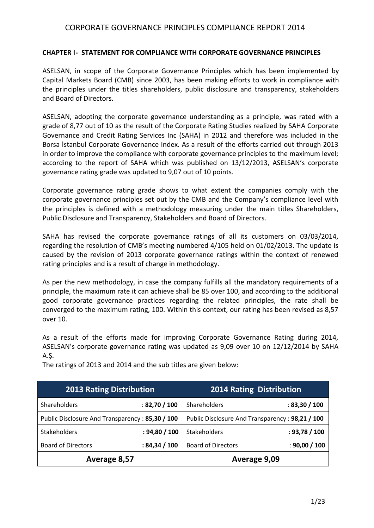#### **CHAPTER I- STATEMENT FOR COMPLIANCE WITH CORPORATE GOVERNANCE PRINCIPLES**

ASELSAN, in scope of the Corporate Governance Principles which has been implemented by Capital Markets Board (CMB) since 2003, has been making efforts to work in compliance with the principles under the titles shareholders, public disclosure and transparency, stakeholders and Board of Directors.

ASELSAN, adopting the corporate governance understanding as a principle, was rated with a grade of 8,77 out of 10 as the result of the Corporate Rating Studies realized by SAHA Corporate Governance and Credit Rating Services Inc (SAHA) in 2012 and therefore was included in the Borsa İstanbul Corporate Governance Index. As a result of the efforts carried out through 2013 in order to improve the compliance with corporate governance principles to the maximum level; according to the report of SAHA which was published on 13/12/2013, ASELSAN's corporate governance rating grade was updated to 9,07 out of 10 points.

Corporate governance rating grade shows to what extent the companies comply with the corporate governance principles set out by the CMB and the Company's compliance level with the principles is defined with a methodology measuring under the main titles Shareholders, Public Disclosure and Transparency, Stakeholders and Board of Directors.

SAHA has revised the corporate governance ratings of all its customers on 03/03/2014, regarding the resolution of CMB's meeting numbered 4/105 held on 01/02/2013. The update is caused by the revision of 2013 corporate governance ratings within the context of renewed rating principles and is a result of change in methodology.

As per the new methodology, in case the company fulfills all the mandatory requirements of a principle, the maximum rate it can achieve shall be 85 over 100, and according to the additional good corporate governance practices regarding the related principles, the rate shall be converged to the maximum rating, 100. Within this context, our rating has been revised as 8,57 over 10.

As a result of the efforts made for improving Corporate Governance Rating during 2014, ASELSAN's corporate governance rating was updated as 9,09 over 10 on 12/12/2014 by SAHA A.Ş.

| <b>2013 Rating Distribution</b>                 |                | <b>2014 Rating Distribution</b>                 |               |
|-------------------------------------------------|----------------|-------------------------------------------------|---------------|
| Shareholders                                    | : 82,70 / 100  | Shareholders                                    | : 83,30 / 100 |
| Public Disclosure And Transparency: 85,30 / 100 |                | Public Disclosure And Transparency: 98,21 / 100 |               |
| <b>Stakeholders</b>                             | : 94,80 / 100  | Stakeholders                                    | : 93,78 / 100 |
| <b>Board of Directors</b>                       | : 84, 34 / 100 | <b>Board of Directors</b>                       | : 90,00 / 100 |
| Average 8,57                                    |                | Average 9,09                                    |               |

The ratings of 2013 and 2014 and the sub titles are given below: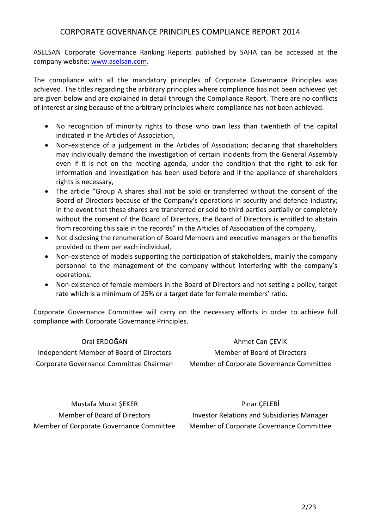ASELSAN Corporate Governance Ranking Reports published by SAHA can be accessed at the company website: [www.aselsan.com.](http://www.aselsan.com/)

The compliance with all the mandatory principles of Corporate Governance Principles was achieved. The titles regarding the arbitrary principles where compliance has not been achieved yet are given below and are explained in detail through the Compliance Report. There are no conflicts of interest arising because of the arbitrary principles where compliance has not been achieved.

- No recognition of minority rights to those who own less than twentieth of the capital indicated in the Articles of Association,
- Non-existence of a judgement in the Articles of Association; declaring that shareholders may individually demand the investigation of certain incidents from the General Assembly even if it is not on the meeting agenda, under the condition that the right to ask for information and investigation has been used before and if the appliance of shareholders rights is necessary,
- The article "Group A shares shall not be sold or transferred without the consent of the Board of Directors because of the Company's operations in security and defence industry; in the event that these shares are transferred or sold to third parties partially or completely without the consent of the Board of Directors, the Board of Directors is entitled to abstain from recording this sale in the records" in the Articles of Association of the company,
- Not disclosing the renumeration of Board Members and executive managers or the benefits provided to them per each individual,
- Non-existence of models supporting the participation of stakeholders, mainly the company personnel to the management of the company without interfering with the company's operations,
- Non-existence of female members in the Board of Directors and not setting a policy, target rate which is a minimum of 25% or a target date for female members' ratio.

Corporate Governance Committee will carry on the necessary efforts in order to achieve full compliance with Corporate Governance Principles.

| Oral ERDOĞAN                             | Ahmet Can CEVIK                          |
|------------------------------------------|------------------------------------------|
| Independent Member of Board of Directors | Member of Board of Directors             |
| Corporate Governance Committee Chairman  | Member of Corporate Governance Committee |

Mustafa Murat ŞEKER Member of Board of Directors Member of Corporate Governance Committee

Pınar ÇELEBİ Investor Relations and Subsidiaries Manager Member of Corporate Governance Committee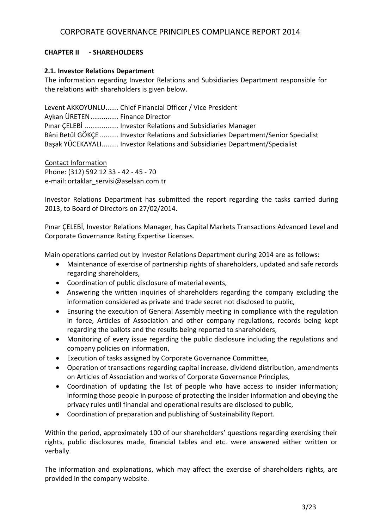### **CHAPTER II - SHAREHOLDERS**

#### **2.1. Investor Relations Department**

The information regarding Investor Relations and Subsidiaries Department responsible for the relations with shareholders is given below.

Levent AKKOYUNLU....... Chief Financial Officer / Vice President Aykan ÜRETEN............... Finance Director Pınar ÇELEBİ .................. Investor Relations and Subsidiaries Manager Bâni Betül GÖKÇE .......... Investor Relations and Subsidiaries Department/Senior Specialist Başak YÜCEKAYALI......... Investor Relations and Subsidiaries Department/Specialist

Contact Information Phone: (312) 592 12 33 - 42 - 45 - 70 e-mail: [ortaklar\\_servisi@aselsan.com.tr](mailto:ortaklar_servisi@aselsan.com.tr)

Investor Relations Department has submitted the report regarding the tasks carried during 2013, to Board of Directors on 27/02/2014.

Pınar ÇELEBİ, Investor Relations Manager, has Capital Markets Transactions Advanced Level and Corporate Governance Rating Expertise Licenses.

Main operations carried out by Investor Relations Department during 2014 are as follows:

- Maintenance of exercise of partnership rights of shareholders, updated and safe records regarding shareholders,
- Coordination of public disclosure of material events,
- Answering the written inquiries of shareholders regarding the company excluding the information considered as private and trade secret not disclosed to public,
- Ensuring the execution of General Assembly meeting in compliance with the regulation in force, Articles of Association and other company regulations, records being kept regarding the ballots and the results being reported to shareholders,
- Monitoring of every issue regarding the public disclosure including the regulations and company policies on information,
- Execution of tasks assigned by Corporate Governance Committee,
- Operation of transactions regarding capital increase, dividend distribution, amendments on Articles of Association and works of Corporate Governance Principles,
- Coordination of updating the list of people who have access to insider information; informing those people in purpose of protecting the insider information and obeying the privacy rules until financial and operational results are disclosed to public,
- Coordination of preparation and publishing of Sustainability Report.

Within the period, approximately 100 of our shareholders' questions regarding exercising their rights, public disclosures made, financial tables and etc. were answered either written or verbally.

The information and explanations, which may affect the exercise of shareholders rights, are provided in the company website.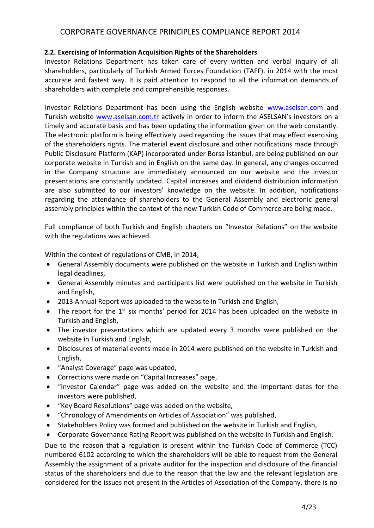### **2.2. Exercising of Information Acquisition Rights of the Shareholders**

Investor Relations Department has taken care of every written and verbal inquiry of all shareholders, particularly of Turkish Armed Forces Foundation (TAFF), in 2014 with the most accurate and fastest way. It is paid attention to respond to all the information demands of shareholders with complete and comprehensible responses.

Investor Relations Department has been using the English website [www.aselsan.com](http://www.aselsan.com/) and Turkish website [www.aselsan.com.](http://www.aselsan.com/)tr actively in order to inform the ASELSAN's investors on a timely and accurate basis and has been updating the information given on the web constantly. The electronic platform is being effectively used regarding the issues that may effect exercising of the shareholders rights. The material event disclosure and other notifications made through Public Disclosure Platform (KAP) incorporated under Borsa İstanbul, are being published on our corporate website in Turkish and in English on the same day. In general, any changes occurred in the Company structure are immediately announced on our website and the investor presentations are constantly updated. Capital increases and dividend distribution information are also submitted to our investors' knowledge on the website. In addition, notifications regarding the attendance of shareholders to the General Assembly and electronic general assembly principles within the context of the new Turkish Code of Commerce are being made.

Full compliance of both Turkish and English chapters on "Investor Relations" on the website with the regulations was achieved.

Within the context of regulations of CMB, in 2014;

- General Assembly documents were published on the website in Turkish and English within legal deadlines,
- General Assembly minutes and participants list were published on the website in Turkish and English,
- 2013 Annual Report was uploaded to the website in Turkish and English,
- The report for the  $1^{st}$  six months' period for 2014 has been uploaded on the website in Turkish and English,
- The investor presentations which are updated every 3 months were published on the website in Turkish and English,
- Disclosures of material events made in 2014 were published on the website in Turkish and English,
- "Analyst Coverage" page was updated,
- Corrections were made on "Capital Increases" page,
- "Investor Calendar" page was added on the website and the important dates for the investors were published,
- "Key Board Resolutions" page was added on the website,
- "Chronology of Amendments on Articles of Association" was published,
- Stakeholders Policy was formed and published on the website in Turkish and English,
- Corporate Governance Rating Report was published on the website in Turkish and English.

Due to the reason that a regulation is present within the Turkish Code of Commerce (TCC) numbered 6102 according to which the shareholders will be able to request from the General Assembly the assignment of a private auditor for the inspection and disclosure of the financial status of the shareholders and due to the reason that the law and the relevant legislation are considered for the issues not present in the Articles of Association of the Company, there is no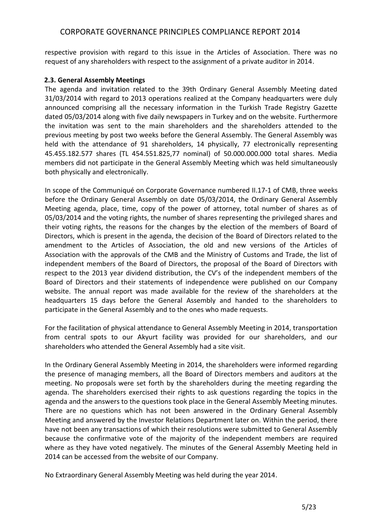respective provision with regard to this issue in the Articles of Association. There was no request of any shareholders with respect to the assignment of a private auditor in 2014.

#### **2.3. General Assembly Meetings**

The agenda and invitation related to the 39th Ordinary General Assembly Meeting dated 31/03/2014 with regard to 2013 operations realized at the Company headquarters were duly announced comprising all the necessary information in the Turkish Trade Registry Gazette dated 05/03/2014 along with five daily newspapers in Turkey and on the website. Furthermore the invitation was sent to the main shareholders and the shareholders attended to the previous meeting by post two weeks before the General Assembly. The General Assembly was held with the attendance of 91 shareholders, 14 physically, 77 electronically representing 45.455.182.577 shares (TL 454.551.825,77 nominal) of 50.000.000.000 total shares. Media members did not participate in the General Assembly Meeting which was held simultaneously both physically and electronically.

In scope of the Communiqué on Corporate Governance numbered II.17-1 of CMB, three weeks before the Ordinary General Assembly on date 05/03/2014, the Ordinary General Assembly Meeting agenda, place, time, copy of the power of attorney, total number of shares as of 05/03/2014 and the voting rights, the number of shares representing the privileged shares and their voting rights, the reasons for the changes by the election of the members of Board of Directors, which is present in the agenda, the decision of the Board of Directors related to the amendment to the Articles of Association, the old and new versions of the Articles of Association with the approvals of the CMB and the Ministry of Customs and Trade, the list of independent members of the Board of Directors, the proposal of the Board of Directors with respect to the 2013 year dividend distribution, the CV's of the independent members of the Board of Directors and their statements of independence were published on our Company website. The annual report was made available for the review of the shareholders at the headquarters 15 days before the General Assembly and handed to the shareholders to participate in the General Assembly and to the ones who made requests.

For the facilitation of physical attendance to General Assembly Meeting in 2014, transportation from central spots to our Akyurt facility was provided for our shareholders, and our shareholders who attended the General Assembly had a site visit.

In the Ordinary General Assembly Meeting in 2014, the shareholders were informed regarding the presence of managing members, all the Board of Directors members and auditors at the meeting. No proposals were set forth by the shareholders during the meeting regarding the agenda. The shareholders exercised their rights to ask questions regarding the topics in the agenda and the answers to the questions took place in the General Assembly Meeting minutes. There are no questions which has not been answered in the Ordinary General Assembly Meeting and answered by the Investor Relations Department later on. Within the period, there have not been any transactions of which their resolutions were submitted to General Assembly because the confirmative vote of the majority of the independent members are required where as they have voted negatively. The minutes of the General Assembly Meeting held in 2014 can be accessed from the website of our Company.

No Extraordinary General Assembly Meeting was held during the year 2014.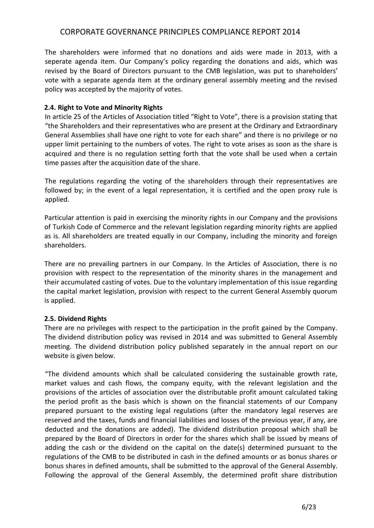The shareholders were informed that no donations and aids were made in 2013, with a seperate agenda item. Our Company's policy regarding the donations and aids, which was revised by the Board of Directors pursuant to the CMB legislation, was put to shareholders' vote with a separate agenda item at the ordinary general assembly meeting and the revised policy was accepted by the majority of votes.

#### **2.4. Right to Vote and Minority Rights**

In article 25 of the Articles of Association titled "Right to Vote", there is a provision stating that "the Shareholders and their representatives who are present at the Ordinary and Extraordinary General Assemblies shall have one right to vote for each share" and there is no privilege or no upper limit pertaining to the numbers of votes. The right to vote arises as soon as the share is acquired and there is no regulation setting forth that the vote shall be used when a certain time passes after the acquisition date of the share.

The regulations regarding the voting of the shareholders through their representatives are followed by; in the event of a legal representation, it is certified and the open proxy rule is applied.

Particular attention is paid in exercising the minority rights in our Company and the provisions of Turkish Code of Commerce and the relevant legislation regarding minority rights are applied as is. All shareholders are treated equally in our Company, including the minority and foreign shareholders.

There are no prevailing partners in our Company. In the Articles of Association, there is no provision with respect to the representation of the minority shares in the management and their accumulated casting of votes. Due to the voluntary implementation of this issue regarding the capital market legislation, provision with respect to the current General Assembly quorum is applied.

### **2.5. Dividend Rights**

There are no privileges with respect to the participation in the profit gained by the Company. The dividend distribution policy was revised in 2014 and was submitted to General Assembly meeting. The dividend distribution policy published separately in the annual report on our website is given below.

"The dividend amounts which shall be calculated considering the sustainable growth rate, market values and cash flows, the company equity, with the relevant legislation and the provisions of the articles of association over the distributable profit amount calculated taking the period profit as the basis which is shown on the financial statements of our Company prepared pursuant to the existing legal regulations (after the mandatory legal reserves are reserved and the taxes, funds and financial liabilities and losses of the previous year, if any, are deducted and the donations are added). The dividend distribution proposal which shall be prepared by the Board of Directors in order for the shares which shall be issued by means of adding the cash or the dividend on the capital on the date(s) determined pursuant to the regulations of the CMB to be distributed in cash in the defined amounts or as bonus shares or bonus shares in defined amounts, shall be submitted to the approval of the General Assembly. Following the approval of the General Assembly, the determined profit share distribution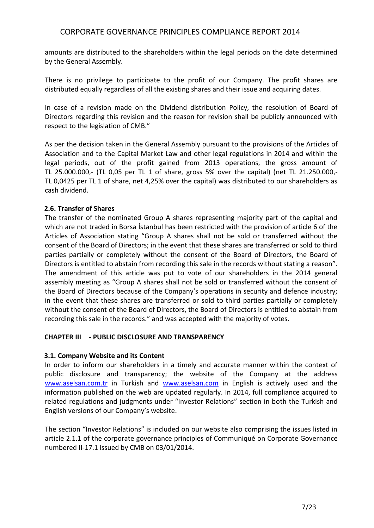amounts are distributed to the shareholders within the legal periods on the date determined by the General Assembly.

There is no privilege to participate to the profit of our Company. The profit shares are distributed equally regardless of all the existing shares and their issue and acquiring dates.

In case of a revision made on the Dividend distribution Policy, the resolution of Board of Directors regarding this revision and the reason for revision shall be publicly announced with respect to the legislation of CMB."

As per the decision taken in the General Assembly pursuant to the provisions of the Articles of Association and to the Capital Market Law and other legal regulations in 2014 and within the legal periods, out of the profit gained from 2013 operations, the gross amount of TL 25.000.000,- (TL 0,05 per TL 1 of share, gross 5% over the capital) (net TL 21.250.000,- TL 0,0425 per TL 1 of share, net 4,25% over the capital) was distributed to our shareholders as cash dividend.

### **2.6. Transfer of Shares**

The transfer of the nominated Group A shares representing majority part of the capital and which are not traded in Borsa İstanbul has been restricted with the provision of article 6 of the Articles of Association stating "Group A shares shall not be sold or transferred without the consent of the Board of Directors; in the event that these shares are transferred or sold to third parties partially or completely without the consent of the Board of Directors, the Board of Directors is entitled to abstain from recording this sale in the records without stating a reason". The amendment of this article was put to vote of our shareholders in the 2014 general assembly meeting as "Group A shares shall not be sold or transferred without the consent of the Board of Directors because of the Company's operations in security and defence industry; in the event that these shares are transferred or sold to third parties partially or completely without the consent of the Board of Directors, the Board of Directors is entitled to abstain from recording this sale in the records." and was accepted with the majority of votes.

#### **CHAPTER III - PUBLIC DISCLOSURE AND TRANSPARENCY**

#### **3.1. Company Website and its Content**

In order to inform our shareholders in a timely and accurate manner within the context of public disclosure and transparency; the website of the Company at the address [www.aselsan.com.tr](http://www.aselsan.com.tr/) in Turkish and [www.aselsan.com](http://www.aselsan.com/) in English is actively used and the information published on the web are updated regularly. In 2014, full compliance acquired to related regulations and judgments under "Investor Relations" section in both the Turkish and English versions of our Company's website.

The section "Investor Relations" is included on our website also comprising the issues listed in article 2.1.1 of the corporate governance principles of Communiqué on Corporate Governance numbered II-17.1 issued by CMB on 03/01/2014.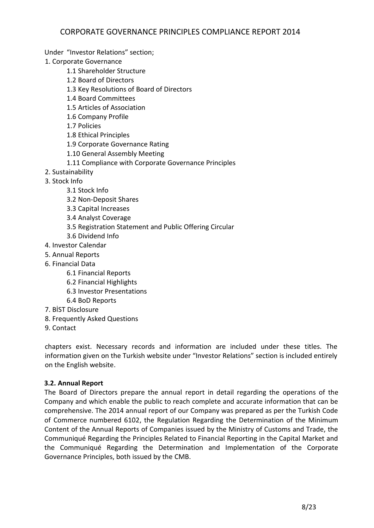Under "Investor Relations" section;

1. Corporate Governance

- 1.1 Shareholder Structure
- 1.2 Board of Directors
- 1.3 Key Resolutions of Board of Directors
- 1.4 Board Committees
- 1.5 Articles of Association
- 1.6 Company Profile
- 1.7 Policies
- 1.8 Ethical Principles
- 1.9 Corporate Governance Rating
- 1.10 General Assembly Meeting
- 1.11 Compliance with Corporate Governance Principles
- 2. Sustainability
- 3. Stock Info
	- 3.1 Stock Info
	- 3.2 Non-Deposit Shares
	- 3.3 Capital Increases
	- 3.4 Analyst Coverage
	- 3.5 Registration Statement and Public Offering Circular
	- 3.6 Dividend Info
- 4. Investor Calendar
- 5. Annual Reports
- 6. Financial Data
	- 6.1 Financial Reports
	- 6.2 Financial Highlights
	- 6.3 Investor Presentations
	- 6.4 BoD Reports
- 7. BİST Disclosure
- 8. Frequently Asked Questions
- 9. Contact

chapters exist. Necessary records and information are included under these titles. The information given on the Turkish website under "Investor Relations" section is included entirely on the English website.

### **3.2. Annual Report**

The Board of Directors prepare the annual report in detail regarding the operations of the Company and which enable the public to reach complete and accurate information that can be comprehensive. The 2014 annual report of our Company was prepared as per the Turkish Code of Commerce numbered 6102, the Regulation Regarding the Determination of the Minimum Content of the Annual Reports of Companies issued by the Ministry of Customs and Trade, the Communiqué Regarding the Principles Related to Financial Reporting in the Capital Market and the Communiqué Regarding the Determination and Implementation of the Corporate Governance Principles, both issued by the CMB.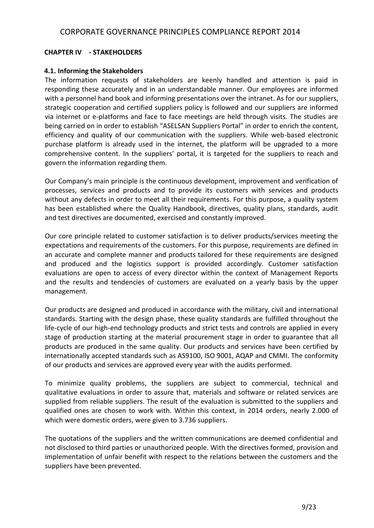### **CHAPTER IV - STAKEHOLDERS**

### **4.1. Informing the Stakeholders**

The information requests of stakeholders are keenly handled and attention is paid in responding these accurately and in an understandable manner. Our employees are informed with a personnel hand book and informing presentations over the intranet. As for our suppliers, strategic cooperation and certified suppliers policy is followed and our suppliers are informed via internet or e-platforms and face to face meetings are held through visits. The studies are being carried on in order to establish "ASELSAN Suppliers Portal" in order to enrich the content, efficiency and quality of our communication with the suppliers. While web-based electronic purchase platform is already used in the internet, the platform will be upgraded to a more comprehensive content. In the suppliers' portal, it is targeted for the suppliers to reach and govern the information regarding them.

Our Company's main principle is the continuous development, improvement and verification of processes, services and products and to provide its customers with services and products without any defects in order to meet all their requirements. For this purpose, a quality system has been established where the Quality Handbook, directives, quality plans, standards, audit and test directives are documented, exercised and constantly improved.

Our core principle related to customer satisfaction is to deliver products/services meeting the expectations and requirements of the customers. For this purpose, requirements are defined in an accurate and complete manner and products tailored for these requirements are designed and produced and the logistics support is provided accordingly. Customer satisfaction evaluations are open to access of every director within the context of Management Reports and the results and tendencies of customers are evaluated on a yearly basis by the upper management.

Our products are designed and produced in accordance with the military, civil and international standards. Starting with the design phase, these quality standards are fulfilled throughout the life-cycle of our high-end technology products and strict tests and controls are applied in every stage of production starting at the material procurement stage in order to guarantee that all products are produced in the same quality. Our products and services have been certified by internationally accepted standards such as AS9100, ISO 9001, AQAP and CMMI. The conformity of our products and services are approved every year with the audits performed.

To minimize quality problems, the suppliers are subject to commercial, technical and qualitative evaluations in order to assure that, materials and software or related services are supplied from reliable suppliers. The result of the evaluation is submitted to the suppliers and qualified ones are chosen to work with. Within this context, in 2014 orders, nearly 2.000 of which were domestic orders, were given to 3.736 suppliers.

The quotations of the suppliers and the written communications are deemed confidential and not disclosed to third parties or unauthorized people. With the directives formed, provision and implementation of unfair benefit with respect to the relations between the customers and the suppliers have been prevented.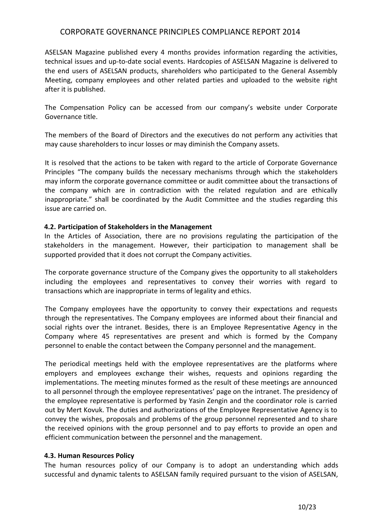ASELSAN Magazine published every 4 months provides information regarding the activities, technical issues and up-to-date social events. Hardcopies of ASELSAN Magazine is delivered to the end users of ASELSAN products, shareholders who participated to the General Assembly Meeting, company employees and other related parties and uploaded to the website right after it is published.

The Compensation Policy can be accessed from our company's website under Corporate Governance title.

The members of the Board of Directors and the executives do not perform any activities that may cause shareholders to incur losses or may diminish the Company assets.

It is resolved that the actions to be taken with regard to the article of Corporate Governance Principles "The company builds the necessary mechanisms through which the stakeholders may inform the corporate governance committee or audit committee about the transactions of the company which are in contradiction with the related regulation and are ethically inappropriate." shall be coordinated by the Audit Committee and the studies regarding this issue are carried on.

#### **4.2. Participation of Stakeholders in the Management**

In the Articles of Association, there are no provisions regulating the participation of the stakeholders in the management. However, their participation to management shall be supported provided that it does not corrupt the Company activities.

The corporate governance structure of the Company gives the opportunity to all stakeholders including the employees and representatives to convey their worries with regard to transactions which are inappropriate in terms of legality and ethics.

The Company employees have the opportunity to convey their expectations and requests through the representatives. The Company employees are informed about their financial and social rights over the intranet. Besides, there is an Employee Representative Agency in the Company where 45 representatives are present and which is formed by the Company personnel to enable the contact between the Company personnel and the management.

The periodical meetings held with the employee representatives are the platforms where employers and employees exchange their wishes, requests and opinions regarding the implementations. The meeting minutes formed as the result of these meetings are announced to all personnel through the employee representatives' page on the intranet. The presidency of the employee representative is performed by Yasin Zengin and the coordinator role is carried out by Mert Kovuk. The duties and authorizations of the Employee Representative Agency is to convey the wishes, proposals and problems of the group personnel represented and to share the received opinions with the group personnel and to pay efforts to provide an open and efficient communication between the personnel and the management.

#### **4.3. Human Resources Policy**

The human resources policy of our Company is to adopt an understanding which adds successful and dynamic talents to ASELSAN family required pursuant to the vision of ASELSAN,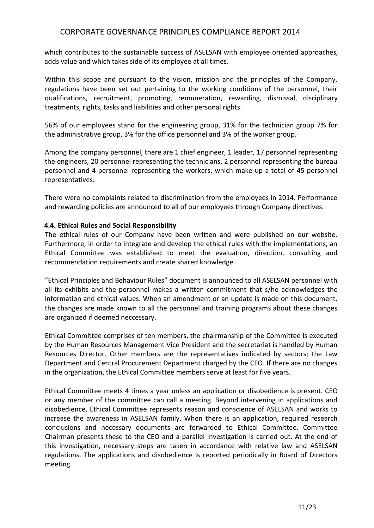which contributes to the sustainable success of ASELSAN with employee oriented approaches, adds value and which takes side of its employee at all times.

Within this scope and pursuant to the vision, mission and the principles of the Company, regulations have been set out pertaining to the working conditions of the personnel, their qualifications, recruitment, promoting, remuneration, rewarding, dismissal, disciplinary treatments, rights, tasks and liabilities and other personal rights.

56% of our employees stand for the engineering group, 31% for the technician group 7% for the administrative group, 3% for the office personnel and 3% of the worker group.

Among the company personnel, there are 1 chief engineer, 1 leader, 17 personnel representing the engineers, 20 personnel representing the technicians, 2 personnel representing the bureau personnel and 4 personnel representing the workers, which make up a total of 45 personnel representatives.

There were no complaints related to discrimination from the employees in 2014. Performance and rewarding policies are announced to all of our employees through Company directives.

#### **4.4. Ethical Rules and Social Responsibility**

The ethical rules of our Company have been written and were published on our website. Furthermore, in order to integrate and develop the ethical rules with the implementations, an Ethical Committee was established to meet the evaluation, direction, consulting and recommendation requirements and create shared knowledge.

"Ethical Principles and Behaviour Rules" document is announced to all ASELSAN personnel with all its exhibits and the personnel makes a written commitment that s/he acknowledges the information and ethical values. When an amendment or an update is made on this document, the changes are made known to all the personnel and training programs about these changes are organized if deemed neccessary.

Ethical Committee comprises of ten members, the chairmanship of the Committee is executed by the Human Resources Management Vice President and the secretariat is handled by Human Resources Director. Other members are the representatives indicated by sectors; the Law Department and Central Procurement Department charged by the CEO. If there are no changes in the organization, the Ethical Committee members serve at least for five years.

Ethical Committee meets 4 times a year unless an application or disobedience is present. CEO or any member of the committee can call a meeting. Beyond intervening in applications and disobedience, Ethical Committee represents reason and conscience of ASELSAN and works to increase the awareness in ASELSAN family. When there is an application, required research conclusions and necessary documents are forwarded to Ethical Committee. Committee Chairman presents these to the CEO and a parallel investigation is carried out. At the end of this investigation, necessary steps are taken in accordance with relative law and ASELSAN regulations. The applications and disobedience is reported periodically in Board of Directors meeting.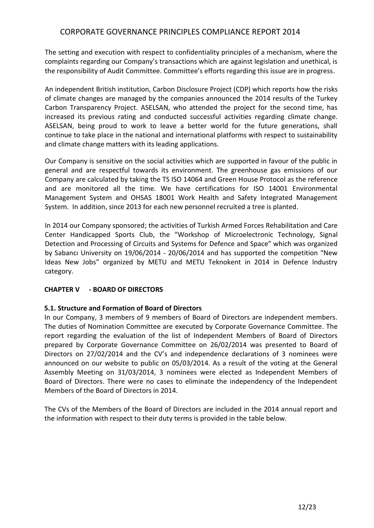The setting and execution with respect to confidentiality principles of a mechanism, where the complaints regarding our Company's transactions which are against legislation and unethical, is the responsibility of Audit Committee. Committee's efforts regarding this issue are in progress.

An independent British institution, Carbon Disclosure Project (CDP) which reports how the risks of climate changes are managed by the companies announced the 2014 results of the Turkey Carbon Transparency Project. ASELSAN, who attended the project for the second time, has increased its previous rating and conducted successful activities regarding climate change. ASELSAN, being proud to work to leave a better world for the future generations, shall continue to take place in the national and international platforms with respect to sustainability and climate change matters with its leading applications.

Our Company is sensitive on the social activities which are supported in favour of the public in general and are respectful towards its environment. The greenhouse gas emissions of our Company are calculated by taking the TS ISO 14064 and Green House Protocol as the reference and are monitored all the time. We have certifications for ISO 14001 Environmental Management System and OHSAS 18001 Work Health and Safety Integrated Management System. In addition, since 2013 for each new personnel recruited a tree is planted.

In 2014 our Company sponsored; the activities of Turkish Armed Forces Rehabilitation and Care Center Handicapped Sports Club, the "Workshop of Microelectronic Technology, Signal Detection and Processing of Circuits and Systems for Defence and Space" which was organized by Sabancı University on 19/06/2014 - 20/06/2014 and has supported the competition "New Ideas New Jobs" organized by METU and METU Teknokent in 2014 in Defence Industry category.

### **CHAPTER V - BOARD OF DIRECTORS**

### **5.1. Structure and Formation of Board of Directors**

In our Company, 3 members of 9 members of Board of Directors are independent members. The duties of Nomination Committee are executed by Corporate Governance Committee. The report regarding the evaluation of the list of Independent Members of Board of Directors prepared by Corporate Governance Committee on 26/02/2014 was presented to Board of Directors on 27/02/2014 and the CV's and independence declarations of 3 nominees were announced on our website to public on 05/03/2014. As a result of the voting at the General Assembly Meeting on 31/03/2014, 3 nominees were elected as Independent Members of Board of Directors. There were no cases to eliminate the independency of the Independent Members of the Board of Directors in 2014.

The CVs of the Members of the Board of Directors are included in the 2014 annual report and the information with respect to their duty terms is provided in the table below.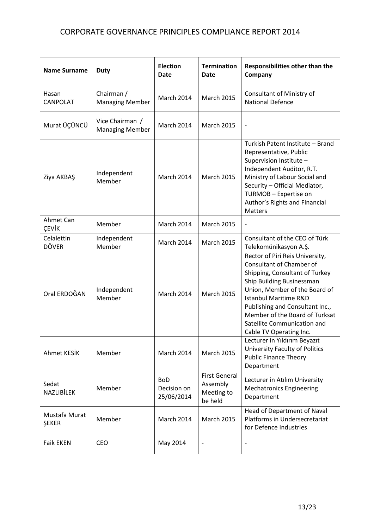| <b>Name Surname</b>           | <b>Duty</b>                               | <b>Election</b><br>Date                 | <b>Termination</b><br>Date                                | Responsibilities other than the<br>Company                                                                                                                                                                                                                                                                                     |
|-------------------------------|-------------------------------------------|-----------------------------------------|-----------------------------------------------------------|--------------------------------------------------------------------------------------------------------------------------------------------------------------------------------------------------------------------------------------------------------------------------------------------------------------------------------|
| Hasan<br><b>CANPOLAT</b>      | Chairman /<br><b>Managing Member</b>      | March 2014                              | <b>March 2015</b>                                         | Consultant of Ministry of<br><b>National Defence</b>                                                                                                                                                                                                                                                                           |
| Murat ÜÇÜNCÜ                  | Vice Chairman /<br><b>Managing Member</b> | March 2014                              | <b>March 2015</b>                                         | $\overline{\phantom{a}}$                                                                                                                                                                                                                                                                                                       |
| Ziya AKBAŞ                    | Independent<br>Member                     | <b>March 2014</b>                       | <b>March 2015</b>                                         | Turkish Patent Institute - Brand<br>Representative, Public<br>Supervision Institute -<br>Independent Auditor, R.T.<br>Ministry of Labour Social and<br>Security - Official Mediator,<br>TURMOB - Expertise on<br>Author's Rights and Financial<br><b>Matters</b>                                                               |
| Ahmet Can<br>ÇEVİK            | Member                                    | March 2014                              | <b>March 2015</b>                                         | $\qquad \qquad \blacksquare$                                                                                                                                                                                                                                                                                                   |
| Celalettin<br><b>DÖVER</b>    | Independent<br>Member                     | March 2014                              | <b>March 2015</b>                                         | Consultant of the CEO of Türk<br>Telekomünikasyon A.Ş.                                                                                                                                                                                                                                                                         |
| Oral ERDOĞAN                  | Independent<br>Member                     | March 2014                              | <b>March 2015</b>                                         | Rector of Piri Reis University,<br>Consultant of Chamber of<br>Shipping, Consultant of Turkey<br>Ship Building Businessman<br>Union, Member of the Board of<br><b>Istanbul Maritime R&amp;D</b><br>Publishing and Consultant Inc.,<br>Member of the Board of Turksat<br>Satellite Communication and<br>Cable TV Operating Inc. |
| <b>Ahmet KESİK</b>            | Member                                    | March 2014                              | <b>March 2015</b>                                         | Lecturer in Yıldırım Beyazıt<br>University Faculty of Politics<br><b>Public Finance Theory</b><br>Department                                                                                                                                                                                                                   |
| Sedat<br><b>NAZLIBİLEK</b>    | Member                                    | <b>BoD</b><br>Decision on<br>25/06/2014 | <b>First General</b><br>Assembly<br>Meeting to<br>be held | Lecturer in Atılım University<br><b>Mechatronics Engineering</b><br>Department                                                                                                                                                                                                                                                 |
| Mustafa Murat<br><b>ŞEKER</b> | Member                                    | March 2014                              | <b>March 2015</b>                                         | Head of Department of Naval<br>Platforms in Undersecretariat<br>for Defence Industries                                                                                                                                                                                                                                         |
| <b>Faik EKEN</b>              | <b>CEO</b>                                | May 2014                                | $\qquad \qquad \blacksquare$                              |                                                                                                                                                                                                                                                                                                                                |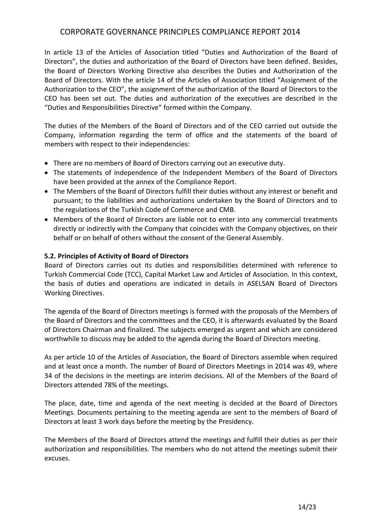In article 13 of the Articles of Association titled "Duties and Authorization of the Board of Directors", the duties and authorization of the Board of Directors have been defined. Besides, the Board of Directors Working Directive also describes the Duties and Authorization of the Board of Directors. With the article 14 of the Articles of Association titled "Assignment of the Authorization to the CEO", the assignment of the authorization of the Board of Directors to the CEO has been set out. The duties and authorization of the executives are described in the "Duties and Responsibilities Directive" formed within the Company.

The duties of the Members of the Board of Directors and of the CEO carried out outside the Company, information regarding the term of office and the statements of the board of members with respect to their independencies:

- There are no members of Board of Directors carrying out an executive duty.
- The statements of independence of the Independent Members of the Board of Directors have been provided at the annex of the Compliance Report.
- The Members of the Board of Directors fulfill their duties without any interest or benefit and pursuant; to the liabilities and authorizations undertaken by the Board of Directors and to the regulations of the Turkish Code of Commerce and CMB.
- Members of the Board of Directors are liable not to enter into any commercial treatments directly or indirectly with the Company that coincides with the Company objectives, on their behalf or on behalf of others without the consent of the General Assembly.

#### **5.2. Principles of Activity of Board of Directors**

Board of Directors carries out its duties and responsibilities determined with reference to Turkish Commercial Code (TCC), Capital Market Law and Articles of Association. In this context, the basis of duties and operations are indicated in details in ASELSAN Board of Directors Working Directives.

The agenda of the Board of Directors meetings is formed with the proposals of the Members of the Board of Directors and the committees and the CEO, it is afterwards evaluated by the Board of Directors Chairman and finalized. The subjects emerged as urgent and which are considered worthwhile to discuss may be added to the agenda during the Board of Directors meeting.

As per article 10 of the Articles of Association, the Board of Directors assemble when required and at least once a month. The number of Board of Directors Meetings in 2014 was 49, where 34 of the decisions in the meetings are interim decisions. All of the Members of the Board of Directors attended 78% of the meetings.

The place, date, time and agenda of the next meeting is decided at the Board of Directors Meetings. Documents pertaining to the meeting agenda are sent to the members of Board of Directors at least 3 work days before the meeting by the Presidency.

The Members of the Board of Directors attend the meetings and fulfill their duties as per their authorization and responsibilities. The members who do not attend the meetings submit their excuses.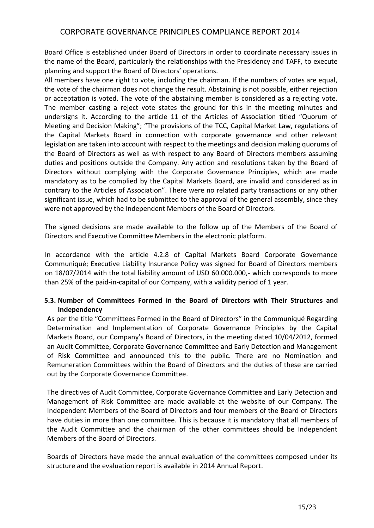Board Office is established under Board of Directors in order to coordinate necessary issues in the name of the Board, particularly the relationships with the Presidency and TAFF, to execute planning and support the Board of Directors' operations.

All members have one right to vote, including the chairman. If the numbers of votes are equal, the vote of the chairman does not change the result. Abstaining is not possible, either rejection or acceptation is voted. The vote of the abstaining member is considered as a rejecting vote. The member casting a reject vote states the ground for this in the meeting minutes and undersigns it. According to the article 11 of the Articles of Association titled "Quorum of Meeting and Decision Making"; "The provisions of the TCC, Capital Market Law, regulations of the Capital Markets Board in connection with corporate governance and other relevant legislation are taken into account with respect to the meetings and decision making quorums of the Board of Directors as well as with respect to any Board of Directors members assuming duties and positions outside the Company. Any action and resolutions taken by the Board of Directors without complying with the Corporate Governance Principles, which are made mandatory as to be complied by the Capital Markets Board, are invalid and considered as in contrary to the Articles of Association". There were no related party transactions or any other significant issue, which had to be submitted to the approval of the general assembly, since they were not approved by the Independent Members of the Board of Directors.

The signed decisions are made available to the follow up of the Members of the Board of Directors and Executive Committee Members in the electronic platform.

In accordance with the article 4.2.8 of Capital Markets Board Corporate Governance Communiqué; Executive Liability Insurance Policy was signed for Board of Directors members on 18/07/2014 with the total liability amount of USD 60.000.000,- which corresponds to more than 25% of the paid-in-capital of our Company, with a validity period of 1 year.

### **5.3. Number of Committees Formed in the Board of Directors with Their Structures and Independency**

As per the title "Committees Formed in the Board of Directors" in the Communiqué Regarding Determination and Implementation of Corporate Governance Principles by the Capital Markets Board, our Company's Board of Directors, in the meeting dated 10/04/2012, formed an Audit Committee, Corporate Governance Committee and Early Detection and Management of Risk Committee and announced this to the public. There are no Nomination and Remuneration Committees within the Board of Directors and the duties of these are carried out by the Corporate Governance Committee.

The directives of Audit Committee, Corporate Governance Committee and Early Detection and Management of Risk Committee are made available at the website of our Company. The Independent Members of the Board of Directors and four members of the Board of Directors have duties in more than one committee. This is because it is mandatory that all members of the Audit Committee and the chairman of the other committees should be Independent Members of the Board of Directors.

Boards of Directors have made the annual evaluation of the committees composed under its structure and the evaluation report is available in 2014 Annual Report.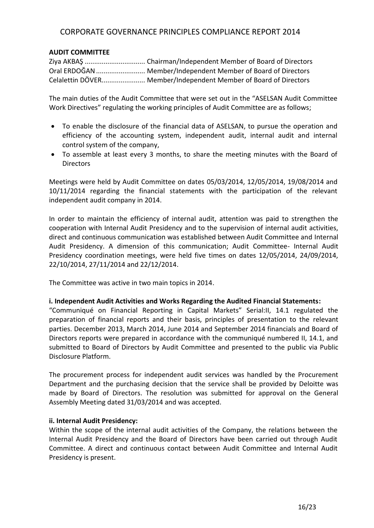#### **AUDIT COMMITTEE**

Ziya AKBAŞ ................................ Chairman/Independent Member of Board of Directors Oral ERDOĞAN.......................... Member/Independent Member of Board of Directors Celalettin DÖVER....................... Member/Independent Member of Board of Directors

The main duties of the Audit Committee that were set out in the "ASELSAN Audit Committee Work Directives" regulating the working principles of Audit Committee are as follows;

- To enable the disclosure of the financial data of ASELSAN, to pursue the operation and efficiency of the accounting system, independent audit, internal audit and internal control system of the company,
- To assemble at least every 3 months, to share the meeting minutes with the Board of Directors

Meetings were held by Audit Committee on dates 05/03/2014, 12/05/2014, 19/08/2014 and 10/11/2014 regarding the financial statements with the participation of the relevant independent audit company in 2014.

In order to maintain the efficiency of internal audit, attention was paid to strengthen the cooperation with Internal Audit Presidency and to the supervision of internal audit activities, direct and continuous communication was established between Audit Committee and Internal Audit Presidency. A dimension of this communication; Audit Committee- Internal Audit Presidency coordination meetings, were held five times on dates 12/05/2014, 24/09/2014, 22/10/2014, 27/11/2014 and 22/12/2014.

The Committee was active in two main topics in 2014.

#### **i. Independent Audit Activities and Works Regarding the Audited Financial Statements:**

"Communiqué on Financial Reporting in Capital Markets" Serial:II, 14.1 regulated the preparation of financial reports and their basis, principles of presentation to the relevant parties. December 2013, March 2014, June 2014 and September 2014 financials and Board of Directors reports were prepared in accordance with the communiqué numbered II, 14.1, and submitted to Board of Directors by Audit Committee and presented to the public via Public Disclosure Platform.

The procurement process for independent audit services was handled by the Procurement Department and the purchasing decision that the service shall be provided by Deloitte was made by Board of Directors. The resolution was submitted for approval on the General Assembly Meeting dated 31/03/2014 and was accepted.

#### **ii. Internal Audit Presidency:**

Within the scope of the internal audit activities of the Company, the relations between the Internal Audit Presidency and the Board of Directors have been carried out through Audit Committee. A direct and continuous contact between Audit Committee and Internal Audit Presidency is present.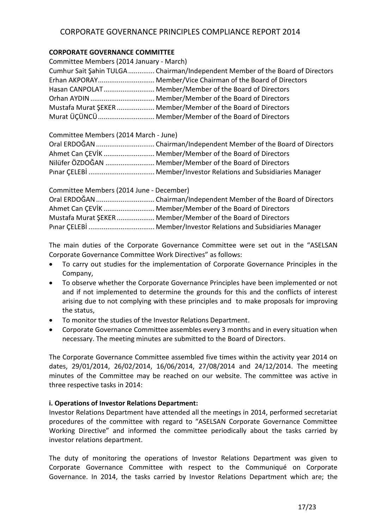### **CORPORATE GOVERNANCE COMMITTEE**

| Committee Members (2014 January - March) |                                                                               |
|------------------------------------------|-------------------------------------------------------------------------------|
|                                          | Cumhur Sait Şahin TULGA Chairman/Independent Member of the Board of Directors |
|                                          | Erhan AKPORAY Member/Vice Chairman of the Board of Directors                  |
|                                          | Hasan CANPOLAT Member/Member of the Board of Directors                        |
|                                          |                                                                               |
|                                          | Mustafa Murat SEKER  Member/Member of the Board of Directors                  |
|                                          | Murat ÜÇÜNCÜ Member/Member of the Board of Directors                          |

Committee Members (2014 March - June)

| Ahmet Can CEVIK  Member/Member of the Board of Directors |
|----------------------------------------------------------|
| Nilüfer ÖZDOĞAN  Member/Member of the Board of Directors |
|                                                          |

| Committee Members (2014 June - December) |                                                              |
|------------------------------------------|--------------------------------------------------------------|
|                                          |                                                              |
|                                          | Ahmet Can CEVIK  Member/Member of the Board of Directors     |
|                                          | Mustafa Murat SEKER  Member/Member of the Board of Directors |
|                                          |                                                              |

The main duties of the Corporate Governance Committee were set out in the "ASELSAN Corporate Governance Committee Work Directives" as follows:

- To carry out studies for the implementation of Corporate Governance Principles in the Company,
- To observe whether the Corporate Governance Principles have been implemented or not and if not implemented to determine the grounds for this and the conflicts of interest arising due to not complying with these principles and to make proposals for improving the status,
- To monitor the studies of the Investor Relations Department.
- Corporate Governance Committee assembles every 3 months and in every situation when necessary. The meeting minutes are submitted to the Board of Directors.

The Corporate Governance Committee assembled five times within the activity year 2014 on dates, 29/01/2014, 26/02/2014, 16/06/2014, 27/08/2014 and 24/12/2014. The meeting minutes of the Committee may be reached on our website. The committee was active in three respective tasks in 2014:

### **i. Operations of Investor Relations Department:**

Investor Relations Department have attended all the meetings in 2014, performed secretariat procedures of the committee with regard to "ASELSAN Corporate Governance Committee Working Directive" and informed the committee periodically about the tasks carried by investor relations department.

The duty of monitoring the operations of Investor Relations Department was given to Corporate Governance Committee with respect to the Communiqué on Corporate Governance. In 2014, the tasks carried by Investor Relations Department which are; the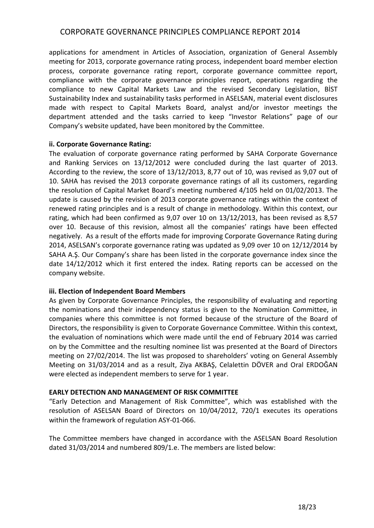applications for amendment in Articles of Association, organization of General Assembly meeting for 2013, corporate governance rating process, independent board member election process, corporate governance rating report, corporate governance committee report, compliance with the corporate governance principles report, operations regarding the compliance to new Capital Markets Law and the revised Secondary Legislation, BİST Sustainability Index and sustainability tasks performed in ASELSAN, material event disclosures made with respect to Capital Markets Board, analyst and/or investor meetings the department attended and the tasks carried to keep "Investor Relations" page of our Company's website updated, have been monitored by the Committee.

#### **ii. Corporate Governance Rating:**

The evaluation of corporate governance rating performed by SAHA Corporate Governance and Ranking Services on 13/12/2012 were concluded during the last quarter of 2013. According to the review, the score of 13/12/2013, 8,77 out of 10, was revised as 9,07 out of 10. SAHA has revised the 2013 corporate governance ratings of all its customers, regarding the resolution of Capital Market Board's meeting numbered 4/105 held on 01/02/2013. The update is caused by the revision of 2013 corporate governance ratings within the context of renewed rating principles and is a result of change in methodology. Within this context, our rating, which had been confirmed as 9,07 over 10 on 13/12/2013, has been revised as 8,57 over 10. Because of this revision, almost all the companies' ratings have been effected negatively. As a result of the efforts made for improving Corporate Governance Rating during 2014, ASELSAN's corporate governance rating was updated as 9,09 over 10 on 12/12/2014 by SAHA A.Ş. Our Company's share has been listed in the corporate governance index since the date 14/12/2012 which it first entered the index. Rating reports can be accessed on the company website.

### **iii. Election of Independent Board Members**

As given by Corporate Governance Principles, the responsibility of evaluating and reporting the nominations and their independency status is given to the Nomination Committee, in companies where this committee is not formed because of the structure of the Board of Directors, the responsibility is given to Corporate Governance Committee. Within this context, the evaluation of nominations which were made until the end of February 2014 was carried on by the Committee and the resulting nominee list was presented at the Board of Directors meeting on 27/02/2014. The list was proposed to shareholders' voting on General Assembly Meeting on 31/03/2014 and as a result, Ziya AKBAŞ, Celalettin DÖVER and Oral ERDOĞAN were elected as independent members to serve for 1 year.

#### **EARLY DETECTION AND MANAGEMENT OF RISK COMMITTEE**

"Early Detection and Management of Risk Committee", which was established with the resolution of ASELSAN Board of Directors on 10/04/2012, 720/1 executes its operations within the framework of regulation ASY-01-066.

The Committee members have changed in accordance with the ASELSAN Board Resolution dated 31/03/2014 and numbered 809/1.e. The members are listed below: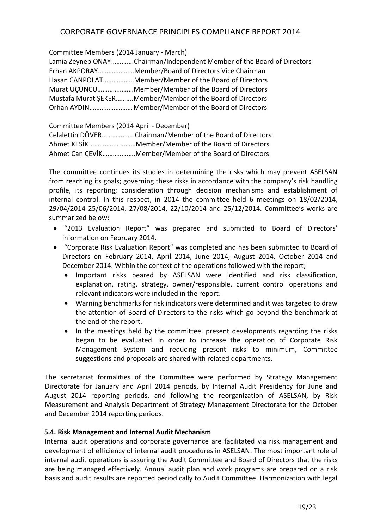Committee Members (2014 January - March)

| Lamia Zeynep ONAYChairman/Independent Member of the Board of Directors |
|------------------------------------------------------------------------|
| Erhan AKPORAYMember/Board of Directors Vice Chairman                   |
| Hasan CANPOLATMember/Member of the Board of Directors                  |
| Murat ÜÇÜNCÜMember/Member of the Board of Directors                    |
| Mustafa Murat SEKERMember/Member of the Board of Directors             |
|                                                                        |

Committee Members (2014 April - December) Celalettin DÖVER……………….Chairman/Member of the Board of Directors Ahmet KESİK………………………Member/Member of the Board of Directors Ahmet Can ÇEVİK……………….Member/Member of the Board of Directors

The committee continues its studies in determining the risks which may prevent ASELSAN from reaching its goals; governing these risks in accordance with the company's risk handling profile, its reporting; consideration through decision mechanisms and establishment of internal control. In this respect, in 2014 the committee held 6 meetings on 18/02/2014, 29/04/2014 25/06/2014, 27/08/2014, 22/10/2014 and 25/12/2014. Committee's works are summarized below:

- "2013 Evaluation Report" was prepared and submitted to Board of Directors' information on February 2014.
- "Corporate Risk Evaluation Report" was completed and has been submitted to Board of Directors on February 2014, April 2014, June 2014, August 2014, October 2014 and December 2014. Within the context of the operations followed with the report;
	- Important risks beared by ASELSAN were identified and risk classification, explanation, rating, strategy, owner/responsible, current control operations and relevant indicators were included in the report.
	- Warning benchmarks for risk indicators were determined and it was targeted to draw the attention of Board of Directors to the risks which go beyond the benchmark at the end of the report.
	- In the meetings held by the committee, present developments regarding the risks began to be evaluated. In order to increase the operation of Corporate Risk Management System and reducing present risks to minimum, Committee suggestions and proposals are shared with related departments.

The secretariat formalities of the Committee were performed by Strategy Management Directorate for January and April 2014 periods, by Internal Audit Presidency for June and August 2014 reporting periods, and following the reorganization of ASELSAN, by Risk Measurement and Analysis Department of Strategy Management Directorate for the October and December 2014 reporting periods.

### **5.4. Risk Management and Internal Audit Mechanism**

Internal audit operations and corporate governance are facilitated via risk management and development of efficiency of internal audit procedures in ASELSAN. The most important role of internal audit operations is assuring the Audit Committee and Board of Directors that the risks are being managed effectively. Annual audit plan and work programs are prepared on a risk basis and audit results are reported periodically to Audit Committee. Harmonization with legal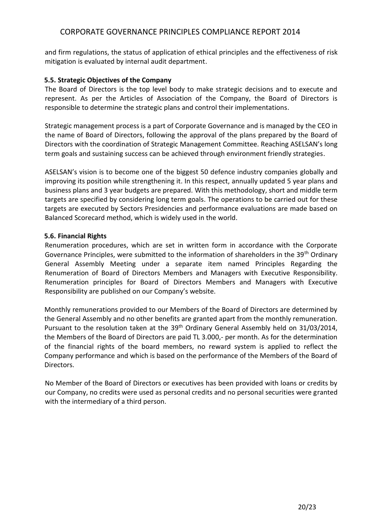and firm regulations, the status of application of ethical principles and the effectiveness of risk mitigation is evaluated by internal audit department.

#### **5.5. Strategic Objectives of the Company**

The Board of Directors is the top level body to make strategic decisions and to execute and represent. As per the Articles of Association of the Company, the Board of Directors is responsible to determine the strategic plans and control their implementations.

Strategic management process is a part of Corporate Governance and is managed by the CEO in the name of Board of Directors, following the approval of the plans prepared by the Board of Directors with the coordination of Strategic Management Committee. Reaching ASELSAN's long term goals and sustaining success can be achieved through environment friendly strategies.

ASELSAN's vision is to become one of the biggest 50 defence industry companies globally and improving its position while strengthening it. In this respect, annually updated 5 year plans and business plans and 3 year budgets are prepared. With this methodology, short and middle term targets are specified by considering long term goals. The operations to be carried out for these targets are executed by Sectors Presidencies and performance evaluations are made based on Balanced Scorecard method, which is widely used in the world.

#### **5.6. Financial Rights**

Renumeration procedures, which are set in written form in accordance with the Corporate Governance Principles, were submitted to the information of shareholders in the 39<sup>th</sup> Ordinary General Assembly Meeting under a separate item named Principles Regarding the Renumeration of Board of Directors Members and Managers with Executive Responsibility. Renumeration principles for Board of Directors Members and Managers with Executive Responsibility are published on our Company's website.

Monthly remunerations provided to our Members of the Board of Directors are determined by the General Assembly and no other benefits are granted apart from the monthly remuneration. Pursuant to the resolution taken at the 39<sup>th</sup> Ordinary General Assembly held on 31/03/2014, the Members of the Board of Directors are paid TL 3.000,- per month. As for the determination of the financial rights of the board members, no reward system is applied to reflect the Company performance and which is based on the performance of the Members of the Board of Directors.

No Member of the Board of Directors or executives has been provided with loans or credits by our Company, no credits were used as personal credits and no personal securities were granted with the intermediary of a third person.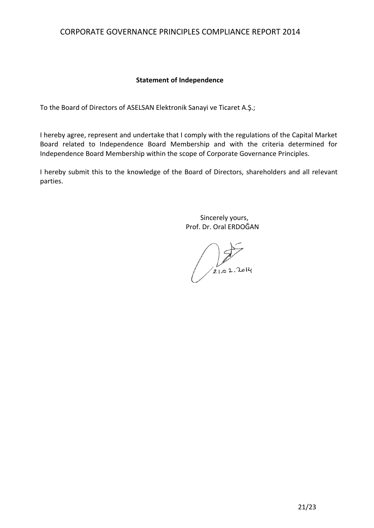### **Statement of Independence**

To the Board of Directors of ASELSAN Elektronik Sanayi ve Ticaret A.Ş.;

I hereby agree, represent and undertake that I comply with the regulations of the Capital Market Board related to Independence Board Membership and with the criteria determined for Independence Board Membership within the scope of Corporate Governance Principles.

I hereby submit this to the knowledge of the Board of Directors, shareholders and all relevant parties.

> Sincerely yours, Prof. Dr. Oral ERDOĞAN

 $21.02.2014$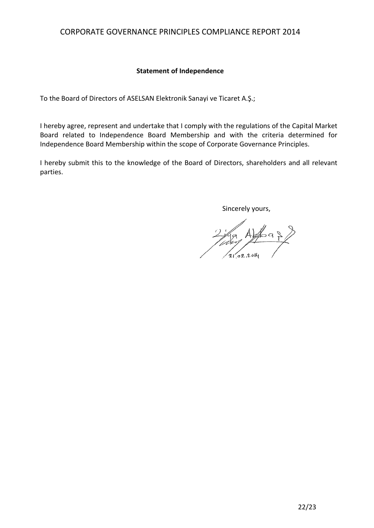### **Statement of Independence**

To the Board of Directors of ASELSAN Elektronik Sanayi ve Ticaret A.Ş.;

I hereby agree, represent and undertake that I comply with the regulations of the Capital Market Board related to Independence Board Membership and with the criteria determined for Independence Board Membership within the scope of Corporate Governance Principles.

I hereby submit this to the knowledge of the Board of Directors, shareholders and all relevant parties.

Sincerely yours,

2 May Alfred